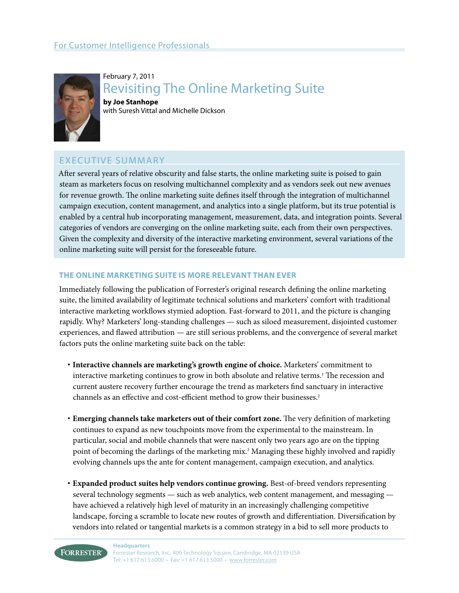

February 7, 2011 Revisiting The Online Marketing Suite **by Joe Stanhope** with Suresh Vittal and Michelle Dickson

# Executive Summary

After several years of relative obscurity and false starts, the online marketing suite is poised to gain steam as marketers focus on resolving multichannel complexity and as vendors seek out new avenues for revenue growth. The online marketing suite defines itself through the integration of multichannel campaign execution, content management, and analytics into a single platform, but its true potential is enabled by a central hub incorporating management, measurement, data, and integration points. Several categories of vendors are converging on the online marketing suite, each from their own perspectives. Given the complexity and diversity of the interactive marketing environment, several variations of the online marketing suite will persist for the foreseeable future.

# **The online marketing suite is more relevant than ever**

Immediately following the publication of Forrester's original research defining the online marketing suite, the limited availability of legitimate technical solutions and marketers' comfort with traditional interactive marketing workflows stymied adoption. Fast-forward to 2011, and the picture is changing rapidly. Why? Marketers' long-standing challenges — such as siloed measurement, disjointed customer experiences, and flawed attribution — are still serious problems, and the convergence of several market factors puts the online marketing suite back on the table:

- **· Interactive channels are marketing's growth engine of choice.** Marketers' commitment to interactive marketing continues to grow in both absolute and relative terms.1 The recession and current austere recovery further encourage the trend as marketers find sanctuary in interactive channels as an effective and cost-efficient method to grow their businesses.<sup>2</sup>
- **· Emerging channels take marketers out of their comfort zone.** The very definition of marketing continues to expand as new touchpoints move from the experimental to the mainstream. In particular, social and mobile channels that were nascent only two years ago are on the tipping point of becoming the darlings of the marketing mix.3 Managing these highly involved and rapidly evolving channels ups the ante for content management, campaign execution, and analytics.
- **· Expanded product suites help vendors continue growing.** Best-of-breed vendors representing several technology segments — such as web analytics, web content management, and messaging have achieved a relatively high level of maturity in an increasingly challenging competitive landscape, forcing a scramble to locate new routes of growth and differentiation. Diversification by vendors into related or tangential markets is a common strategy in a bid to sell more products to

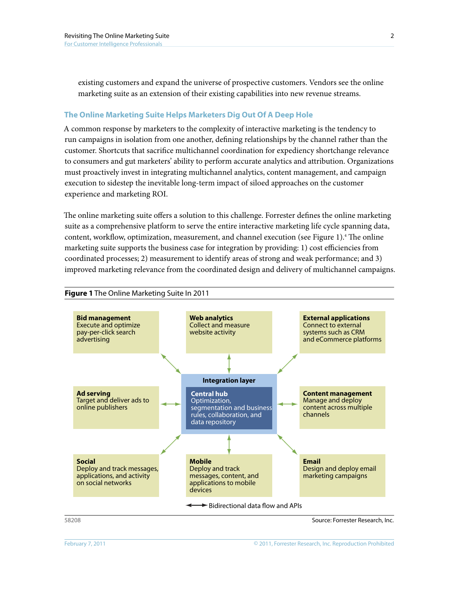existing customers and expand the universe of prospective customers. Vendors see the online marketing suite as an extension of their existing capabilities into new revenue streams.

### **The Online Marketing Suite Helps Marketers Dig Out Of A Deep Hole**

A common response by marketers to the complexity of interactive marketing is the tendency to run campaigns in isolation from one another, defining relationships by the channel rather than the customer. Shortcuts that sacrifice multichannel coordination for expediency shortchange relevance to consumers and gut marketers' ability to perform accurate analytics and attribution. Organizations must proactively invest in integrating multichannel analytics, content management, and campaign execution to sidestep the inevitable long-term impact of siloed approaches on the customer experience and marketing ROI.

The online marketing suite offers a solution to this challenge. Forrester defines the online marketing suite as a comprehensive platform to serve the entire interactive marketing life cycle spanning data, content, workflow, optimization, measurement, and channel execution (see Figure 1).4 The online marketing suite supports the business case for integration by providing: 1) cost efficiencies from coordinated processes; 2) measurement to identify areas of strong and weak performance; and 3) improved marketing relevance from the coordinated design and delivery of multichannel campaigns.



# **Figure 1** The Online Marketing Suite In 2011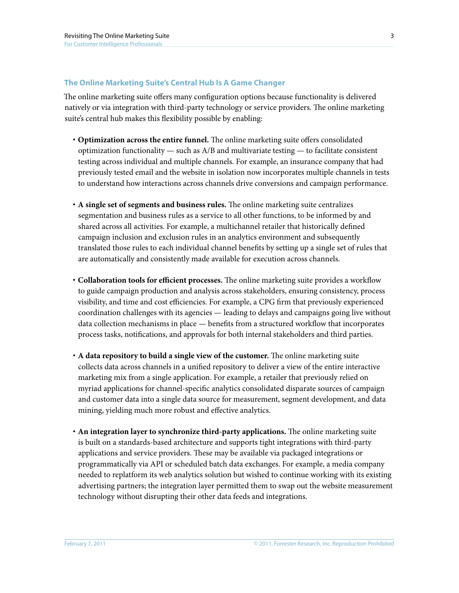# **The Online Marketing Suite's Central Hub Is A Game Changer**

The online marketing suite offers many configuration options because functionality is delivered natively or via integration with third-party technology or service providers. The online marketing suite's central hub makes this flexibility possible by enabling:

- **· Optimization across the entire funnel.** The online marketing suite offers consolidated optimization functionality — such as  $A/B$  and multivariate testing — to facilitate consistent testing across individual and multiple channels. For example, an insurance company that had previously tested email and the website in isolation now incorporates multiple channels in tests to understand how interactions across channels drive conversions and campaign performance.
- **· A single set of segments and business rules.** The online marketing suite centralizes segmentation and business rules as a service to all other functions, to be informed by and shared across all activities. For example, a multichannel retailer that historically defined campaign inclusion and exclusion rules in an analytics environment and subsequently translated those rules to each individual channel benefits by setting up a single set of rules that are automatically and consistently made available for execution across channels.
- **· Collaboration tools for efficient processes.** The online marketing suite provides a workflow to guide campaign production and analysis across stakeholders, ensuring consistency, process visibility, and time and cost efficiencies. For example, a CPG firm that previously experienced coordination challenges with its agencies — leading to delays and campaigns going live without data collection mechanisms in place — benefits from a structured workflow that incorporates process tasks, notifications, and approvals for both internal stakeholders and third parties.
- **· A data repository to build a single view of the customer.** The online marketing suite collects data across channels in a unified repository to deliver a view of the entire interactive marketing mix from a single application. For example, a retailer that previously relied on myriad applications for channel-specific analytics consolidated disparate sources of campaign and customer data into a single data source for measurement, segment development, and data mining, yielding much more robust and effective analytics.
- **· An integration layer to synchronize third-party applications.** The online marketing suite is built on a standards-based architecture and supports tight integrations with third-party applications and service providers. These may be available via packaged integrations or programmatically via API or scheduled batch data exchanges. For example, a media company needed to replatform its web analytics solution but wished to continue working with its existing advertising partners; the integration layer permitted them to swap out the website measurement technology without disrupting their other data feeds and integrations.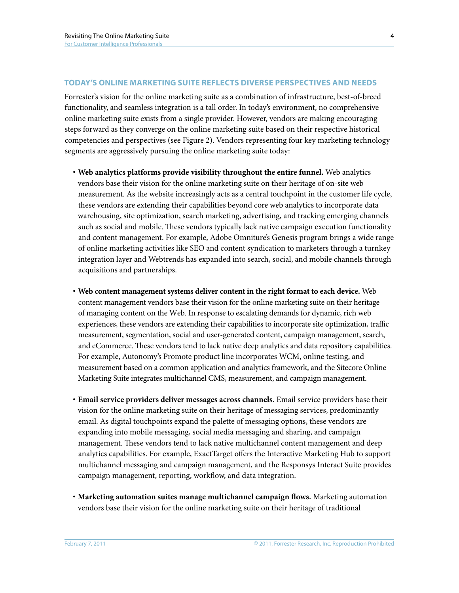# **today's Online marketing suite reflects diverse perspectives and needs**

Forrester's vision for the online marketing suite as a combination of infrastructure, best-of-breed functionality, and seamless integration is a tall order. In today's environment, no comprehensive online marketing suite exists from a single provider. However, vendors are making encouraging steps forward as they converge on the online marketing suite based on their respective historical competencies and perspectives (see Figure 2). Vendors representing four key marketing technology segments are aggressively pursuing the online marketing suite today:

- **· Web analytics platforms provide visibility throughout the entire funnel.** Web analytics vendors base their vision for the online marketing suite on their heritage of on-site web measurement. As the website increasingly acts as a central touchpoint in the customer life cycle, these vendors are extending their capabilities beyond core web analytics to incorporate data warehousing, site optimization, search marketing, advertising, and tracking emerging channels such as social and mobile. These vendors typically lack native campaign execution functionality and content management. For example, Adobe Omniture's Genesis program brings a wide range of online marketing activities like SEO and content syndication to marketers through a turnkey integration layer and Webtrends has expanded into search, social, and mobile channels through acquisitions and partnerships.
- **· Web content management systems deliver content in the right format to each device.** Web content management vendors base their vision for the online marketing suite on their heritage of managing content on the Web. In response to escalating demands for dynamic, rich web experiences, these vendors are extending their capabilities to incorporate site optimization, traffic measurement, segmentation, social and user-generated content, campaign management, search, and eCommerce. These vendors tend to lack native deep analytics and data repository capabilities. For example, Autonomy's Promote product line incorporates WCM, online testing, and measurement based on a common application and analytics framework, and the Sitecore Online Marketing Suite integrates multichannel CMS, measurement, and campaign management.
- **· Email service providers deliver messages across channels.** Email service providers base their vision for the online marketing suite on their heritage of messaging services, predominantly email. As digital touchpoints expand the palette of messaging options, these vendors are expanding into mobile messaging, social media messaging and sharing, and campaign management. These vendors tend to lack native multichannel content management and deep analytics capabilities. For example, ExactTarget offers the Interactive Marketing Hub to support multichannel messaging and campaign management, and the Responsys Interact Suite provides campaign management, reporting, workflow, and data integration.
- **· Marketing automation suites manage multichannel campaign flows.** Marketing automation vendors base their vision for the online marketing suite on their heritage of traditional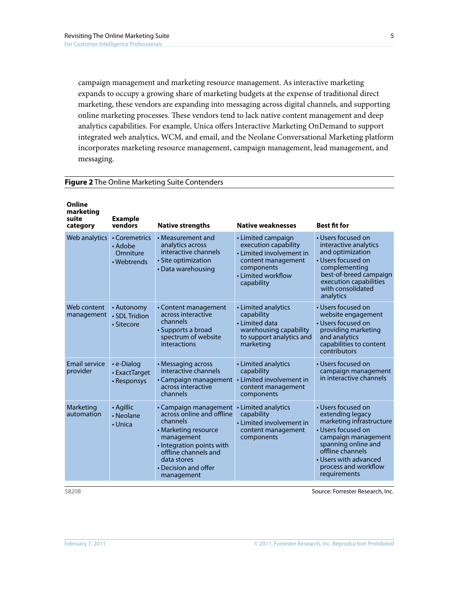campaign management and marketing resource management. As interactive marketing expands to occupy a growing share of marketing budgets at the expense of traditional direct marketing, these vendors are expanding into messaging across digital channels, and supporting online marketing processes. These vendors tend to lack native content management and deep analytics capabilities. For example, Unica offers Interactive Marketing OnDemand to support integrated web analytics, WCM, and email, and the Neolane Conversational Marketing platform incorporates marketing resource management, campaign management, lead management, and messaging.

#### **Figure 2** The Online Marketing Suite Contenders

| Online<br>marketing<br>suite<br>category | <b>Example</b><br>vendors                           | <b>Native strengths</b>                                                                                                                                                                                        | <b>Native weaknesses</b>                                                                                                                       | <b>Best fit for</b>                                                                                                                                                                                                         |
|------------------------------------------|-----------------------------------------------------|----------------------------------------------------------------------------------------------------------------------------------------------------------------------------------------------------------------|------------------------------------------------------------------------------------------------------------------------------------------------|-----------------------------------------------------------------------------------------------------------------------------------------------------------------------------------------------------------------------------|
| Web analytics                            | • Coremetrics<br>• Adobe<br>Omniture<br>• Webtrends | • Measurement and<br>analytics across<br>interactive channels<br>· Site optimization<br>• Data warehousing                                                                                                     | • Limited campaign<br>execution capability<br>• Limited involvement in<br>content management<br>components<br>• Limited workflow<br>capability | • Users focused on<br>interactive analytics<br>and optimization<br>• Users focused on<br>complementing<br>best-of-breed campaign<br>execution capabilities<br>with consolidated<br>analytics                                |
| Web content<br>management                | • Autonomy<br>· SDL Tridion<br>• Sitecore           | • Content management<br>across interactive<br>channels<br>• Supports a broad<br>spectrum of website<br>interactions                                                                                            | • Limited analytics<br>capability<br>• Limited data<br>warehousing capability<br>to support analytics and<br>marketing                         | • Users focused on<br>website engagement<br>• Users focused on<br>providing marketing<br>and analytics<br>capabilities to content<br>contributors                                                                           |
| <b>Email service</b><br>provider         | $\cdot$ e-Dialog<br>• ExactTarget<br>• Responsys    | • Messaging across<br>interactive channels<br>• Campaign management<br>across interactive<br>channels                                                                                                          | • Limited analytics<br>capability<br>• Limited involvement in<br>content management<br>components                                              | • Users focused on<br>campaign management<br>in interactive channels                                                                                                                                                        |
| Marketing<br>automation                  | • Agillic<br>• Neolane<br>• Unica                   | • Campaign management<br>across online and offline<br>channels<br>• Marketing resource<br>management<br>• Integration points with<br>offline channels and<br>data stores<br>• Decision and offer<br>management | • Limited analytics<br>capability<br>• Limited involvement in<br>content management<br>components                                              | • Users focused on<br>extending legacy<br>marketing infrastructure<br>• Users focused on<br>campaign management<br>spanning online and<br>offline channels<br>• Users with advanced<br>process and workflow<br>requirements |

58208 Source: Forrester Research, Inc.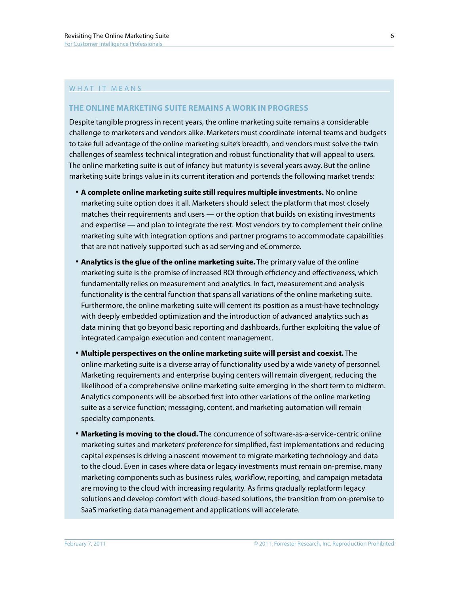### WHAT IT MFANS

## **The online marketing suite remains a work in progress**

Despite tangible progress in recent years, the online marketing suite remains a considerable challenge to marketers and vendors alike. Marketers must coordinate internal teams and budgets to take full advantage of the online marketing suite's breadth, and vendors must solve the twin challenges of seamless technical integration and robust functionality that will appeal to users. The online marketing suite is out of infancy but maturity is several years away. But the online marketing suite brings value in its current iteration and portends the following market trends:

- **· A complete online marketing suite still requires multiple investments.** No online marketing suite option does it all. Marketers should select the platform that most closely matches their requirements and users — or the option that builds on existing investments and expertise — and plan to integrate the rest. Most vendors try to complement their online marketing suite with integration options and partner programs to accommodate capabilities that are not natively supported such as ad serving and eCommerce.
- **· Analytics is the glue of the online marketing suite.** The primary value of the online marketing suite is the promise of increased ROI through efficiency and effectiveness, which fundamentally relies on measurement and analytics. In fact, measurement and analysis functionality is the central function that spans all variations of the online marketing suite. Furthermore, the online marketing suite will cement its position as a must-have technology with deeply embedded optimization and the introduction of advanced analytics such as data mining that go beyond basic reporting and dashboards, further exploiting the value of integrated campaign execution and content management.
- **· Multiple perspectives on the online marketing suite will persist and coexist.** The online marketing suite is a diverse array of functionality used by a wide variety of personnel. Marketing requirements and enterprise buying centers will remain divergent, reducing the likelihood of a comprehensive online marketing suite emerging in the short term to midterm. Analytics components will be absorbed first into other variations of the online marketing suite as a service function; messaging, content, and marketing automation will remain specialty components.
- **· Marketing is moving to the cloud.** The concurrence of software-as-a-service-centric online marketing suites and marketers' preference for simplified, fast implementations and reducing capital expenses is driving a nascent movement to migrate marketing technology and data to the cloud. Even in cases where data or legacy investments must remain on-premise, many marketing components such as business rules, workflow, reporting, and campaign metadata are moving to the cloud with increasing regularity. As firms gradually replatform legacy solutions and develop comfort with cloud-based solutions, the transition from on-premise to SaaS marketing data management and applications will accelerate.